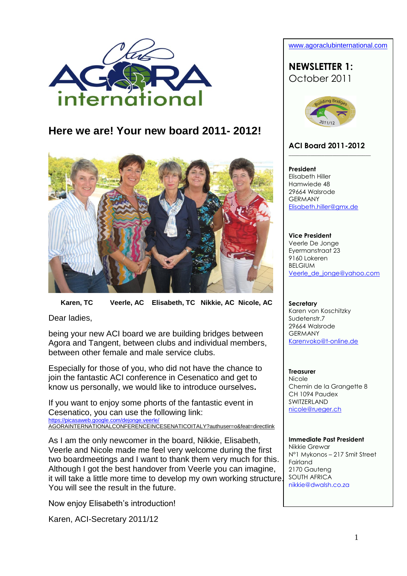

# **Here we are! Your new board 2011- 2012!**



 **Karen, TC Veerle, AC Elisabeth, TC Nikkie, AC Nicole, AC**

Dear ladies,

being your new ACI board we are building bridges between Agora and Tangent, between clubs and individual members, between other female and male service clubs.

Especially for those of you, who did not have the chance to join the fantastic ACI conference in Cesenatico and get to know us personally, we would like to introduce ourselves**.** 

If you want to enjoy some phorts of the fantastic event in Cesenatico, you can use the following link: <https://picasaweb.google.com/dejonge.veerle/> AGORAINTERNATIONALCONFERENCEINCESENATICOITALY?authuser=o&feat=directlink

As I am the only newcomer in the board, Nikkie, Elisabeth, Veerle and Nicole made me feel very welcome during the first two boardmeetings and I want to thank them very much for this. Although I got the best handover from Veerle you can imagine, it will take a little more time to develop my own working structure. You will see the result in the future.

Now enjoy Elisabeth's introduction!

Karen, ACI-Secretary 2011/12



**NEWSLETTER 1:**  October 2011



### **ACI Board 2011-2012 \_\_\_\_\_\_\_\_\_\_\_\_\_\_\_\_\_\_\_\_\_\_\_\_\_\_\_\_\_\_**

**President**  Elisabeth Hiller Hamwiede 48 29664 Walsrode GERMANY [Elisabeth.hiller@gmx.de](mailto:Elisabeth.hiller@gmx.de)

**Vice President** Veerle De Jonge Eyermanstraat 23 9160 Lokeren BELGIUM [Veerle\\_de\\_jonge@yahoo.com](mailto:Veerle_de_jonge@yahoo.com)

### **Secretary**

Karen von Koschitzky Sudetenstr.7 29664 Walsrode GERMANY [Karenvoko@t-online.de](mailto:Karenvoko@t-online.de)

## **Treasurer**

Nicole Chemin de la Grangette 8 CH 1094 Paudex SWITZERLAND [nicole@rueger.ch](mailto:nicole@rueger.ch)

### **Immediate Past President**

Nikkie Grewar N°1 Mykonos – 217 Smit Street Fairland 2170 Gauteng SOUTH AFRICA nikkie@dwalsh.co.za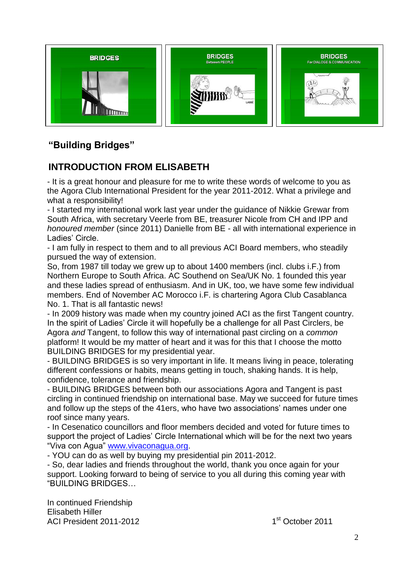

# **"Building Bridges"**

# **INTRODUCTION FROM ELISABETH**

- It is a great honour and pleasure for me to write these words of welcome to you as the Agora Club International President for the year 2011-2012. What a privilege and what a responsibility!

- I started my international work last year under the guidance of Nikkie Grewar from South Africa, with secretary Veerle from BE, treasurer Nicole from CH and IPP and *honoured member* (since 2011) Danielle from BE - all with international experience in Ladies' Circle.

- I am fully in respect to them and to all previous ACI Board members, who steadily pursued the way of extension.

So, from 1987 till today we grew up to about 1400 members (incl. clubs i.F.) from Northern Europe to South Africa. AC Southend on Sea/UK No. 1 founded this year and these ladies spread of enthusiasm. And in UK, too, we have some few individual members. End of November AC Morocco i.F. is chartering Agora Club Casablanca No. 1. That is all fantastic news!

- In 2009 history was made when my country joined ACI as the first Tangent country. In the spirit of Ladies' Circle it will hopefully be a challenge for all Past Circlers, be Agora *and* Tangent, to follow this way of international past circling on a *common* platform! It would be my matter of heart and it was for this that I choose the motto BUILDING BRIDGES for my presidential year.

- BUILDING BRIDGES is so very important in life. It means living in peace, tolerating different confessions or habits, means getting in touch, shaking hands. It is help, confidence, tolerance and friendship.

- BUILDING BRIDGES between both our associations Agora and Tangent is past circling in continued friendship on international base. May we succeed for future times and follow up the steps of the 41ers, who have two associations' names under one roof since many years.

- In Cesenatico councillors and floor members decided and voted for future times to support the project of Ladies' Circle International which will be for the next two years "Viva con Agua" [www.vivaconagua.org.](http://www.vivaconagua.org/)

- YOU can do as well by buying my presidential pin 2011-2012.

- So, dear ladies and friends throughout the world, thank you once again for your support. Looking forward to being of service to you all during this coming year with "BUILDING BRIDGES…

In continued Friendship Elisabeth Hiller ACI President 2011-2012 1

1<sup>st</sup> October 2011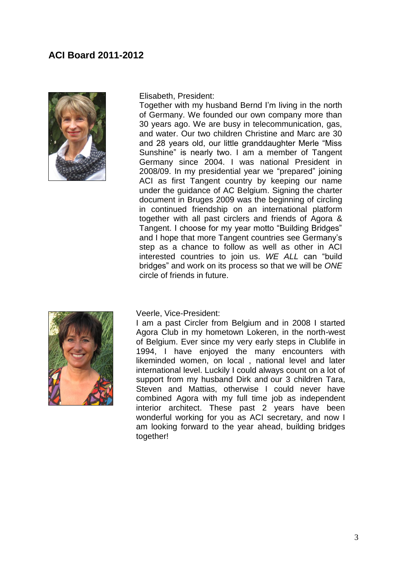# **ACI Board 2011-2012**



## Elisabeth, President:

Together with my husband Bernd I'm living in the north of Germany. We founded our own company more than 30 years ago. We are busy in telecommunication, gas, and water. Our two children Christine and Marc are 30 and 28 years old, our little granddaughter Merle "Miss Sunshine" is nearly two. I am a member of Tangent Germany since 2004. I was national President in 2008/09. In my presidential year we "prepared" joining ACI as first Tangent country by keeping our name under the guidance of AC Belgium. Signing the charter document in Bruges 2009 was the beginning of circling in continued friendship on an international platform together with all past circlers and friends of Agora & Tangent. I choose for my year motto "Building Bridges" and I hope that more Tangent countries see Germany's step as a chance to follow as well as other in ACI interested countries to join us. *WE ALL* can "build bridges" and work on its process so that we will be *ONE* circle of friends in future.



### Veerle, Vice-President:

I am a past Circler from Belgium and in 2008 I started Agora Club in my hometown Lokeren, in the north-west of Belgium. Ever since my very early steps in Clublife in 1994, I have enjoyed the many encounters with likeminded women, on local , national level and later international level. Luckily I could always count on a lot of support from my husband Dirk and our 3 children Tara, Steven and Mattias, otherwise I could never have combined Agora with my full time job as independent interior architect. These past 2 years have been wonderful working for you as ACI secretary, and now I am looking forward to the year ahead, building bridges together!